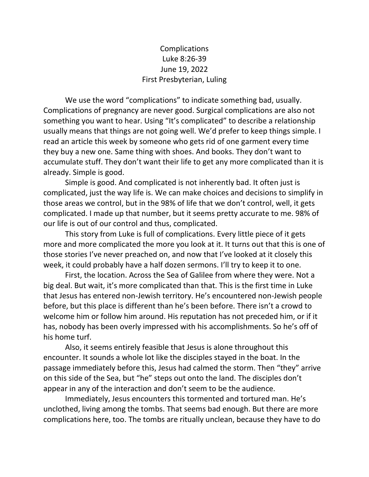**Complications** Luke 8:26-39 June 19, 2022 First Presbyterian, Luling

We use the word "complications" to indicate something bad, usually. Complications of pregnancy are never good. Surgical complications are also not something you want to hear. Using "It's complicated" to describe a relationship usually means that things are not going well. We'd prefer to keep things simple. I read an article this week by someone who gets rid of one garment every time they buy a new one. Same thing with shoes. And books. They don't want to accumulate stuff. They don't want their life to get any more complicated than it is already. Simple is good.

Simple is good. And complicated is not inherently bad. It often just is complicated, just the way life is. We can make choices and decisions to simplify in those areas we control, but in the 98% of life that we don't control, well, it gets complicated. I made up that number, but it seems pretty accurate to me. 98% of our life is out of our control and thus, complicated.

This story from Luke is full of complications. Every little piece of it gets more and more complicated the more you look at it. It turns out that this is one of those stories I've never preached on, and now that I've looked at it closely this week, it could probably have a half dozen sermons. I'll try to keep it to one.

First, the location. Across the Sea of Galilee from where they were. Not a big deal. But wait, it's more complicated than that. This is the first time in Luke that Jesus has entered non-Jewish territory. He's encountered non-Jewish people before, but this place is different than he's been before. There isn't a crowd to welcome him or follow him around. His reputation has not preceded him, or if it has, nobody has been overly impressed with his accomplishments. So he's off of his home turf.

Also, it seems entirely feasible that Jesus is alone throughout this encounter. It sounds a whole lot like the disciples stayed in the boat. In the passage immediately before this, Jesus had calmed the storm. Then "they" arrive on this side of the Sea, but "he" steps out onto the land. The disciples don't appear in any of the interaction and don't seem to be the audience.

Immediately, Jesus encounters this tormented and tortured man. He's unclothed, living among the tombs. That seems bad enough. But there are more complications here, too. The tombs are ritually unclean, because they have to do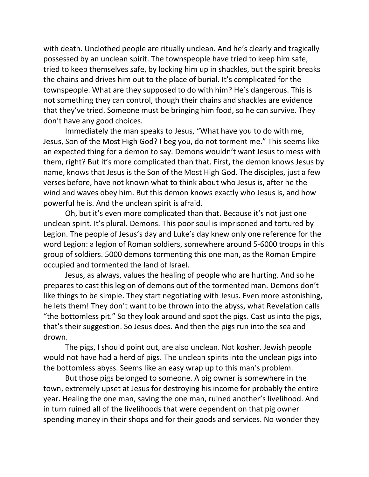with death. Unclothed people are ritually unclean. And he's clearly and tragically possessed by an unclean spirit. The townspeople have tried to keep him safe, tried to keep themselves safe, by locking him up in shackles, but the spirit breaks the chains and drives him out to the place of burial. It's complicated for the townspeople. What are they supposed to do with him? He's dangerous. This is not something they can control, though their chains and shackles are evidence that they've tried. Someone must be bringing him food, so he can survive. They don't have any good choices.

Immediately the man speaks to Jesus, "What have you to do with me, Jesus, Son of the Most High God? I beg you, do not torment me." This seems like an expected thing for a demon to say. Demons wouldn't want Jesus to mess with them, right? But it's more complicated than that. First, the demon knows Jesus by name, knows that Jesus is the Son of the Most High God. The disciples, just a few verses before, have not known what to think about who Jesus is, after he the wind and waves obey him. But this demon knows exactly who Jesus is, and how powerful he is. And the unclean spirit is afraid.

Oh, but it's even more complicated than that. Because it's not just one unclean spirit. It's plural. Demons. This poor soul is imprisoned and tortured by Legion. The people of Jesus's day and Luke's day knew only one reference for the word Legion: a legion of Roman soldiers, somewhere around 5-6000 troops in this group of soldiers. 5000 demons tormenting this one man, as the Roman Empire occupied and tormented the land of Israel.

Jesus, as always, values the healing of people who are hurting. And so he prepares to cast this legion of demons out of the tormented man. Demons don't like things to be simple. They start negotiating with Jesus. Even more astonishing, he lets them! They don't want to be thrown into the abyss, what Revelation calls "the bottomless pit." So they look around and spot the pigs. Cast us into the pigs, that's their suggestion. So Jesus does. And then the pigs run into the sea and drown.

The pigs, I should point out, are also unclean. Not kosher. Jewish people would not have had a herd of pigs. The unclean spirits into the unclean pigs into the bottomless abyss. Seems like an easy wrap up to this man's problem.

But those pigs belonged to someone. A pig owner is somewhere in the town, extremely upset at Jesus for destroying his income for probably the entire year. Healing the one man, saving the one man, ruined another's livelihood. And in turn ruined all of the livelihoods that were dependent on that pig owner spending money in their shops and for their goods and services. No wonder they